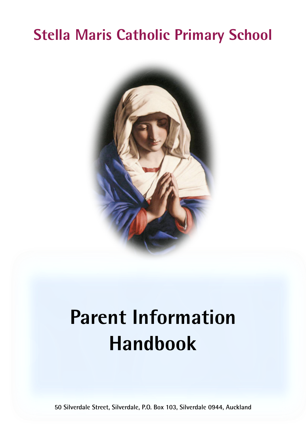## **Stella Maris Catholic Primary School**



# **Parent Information Handbook**

**50 Silverdale Street, Silverdale, P.O. Box 103, Silverdale 0944, Auckland**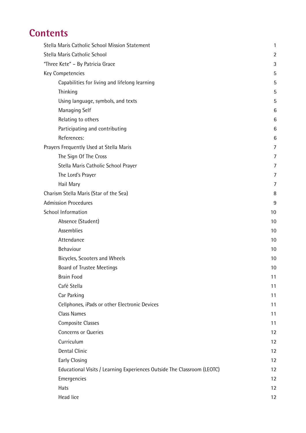## **Contents**

| Stella Maris Catholic School Mission Statement                          | 1              |
|-------------------------------------------------------------------------|----------------|
| Stella Maris Catholic School                                            | $\overline{2}$ |
| "Three Kete" - By Patricia Grace                                        | 3              |
| Key Competencies                                                        | 5              |
| Capabilities for living and lifelong learning                           | 5              |
| Thinking                                                                | 5              |
| Using language, symbols, and texts                                      | 5              |
| <b>Managing Self</b>                                                    | 6              |
| Relating to others                                                      | 6              |
| Participating and contributing                                          | 6              |
| References:                                                             | 6              |
| Prayers Frequently Used at Stella Maris                                 | 7              |
| The Sign Of The Cross                                                   | 7              |
| Stella Maris Catholic School Prayer                                     | 7              |
| The Lord's Prayer                                                       | 7              |
| Hail Mary                                                               | 7              |
| Charism Stella Maris (Star of the Sea)                                  | 8              |
| <b>Admission Procedures</b>                                             | 9              |
| School Information                                                      | 10             |
| Absence (Student)                                                       | 10             |
| Assemblies                                                              | 10             |
| Attendance                                                              | 10             |
| Behaviour                                                               | 10             |
| Bicycles, Scooters and Wheels                                           | 10             |
| <b>Board of Trustee Meetings</b>                                        | 10             |
| <b>Brain Food</b>                                                       | 11             |
| Café Stella                                                             | 11             |
| Car Parking                                                             | 11             |
| Cellphones, iPads or other Electronic Devices                           | 11             |
| <b>Class Names</b>                                                      | 11             |
| <b>Composite Classes</b>                                                | 11             |
| Concerns or Queries                                                     | 12             |
| Curriculum                                                              | 12             |
| <b>Dental Clinic</b>                                                    | 12             |
| <b>Early Closing</b>                                                    | 12             |
| Educational Visits / Learning Experiences Outside The Classroom (LEOTC) | 12             |
| Emergencies                                                             | 12             |
| Hats                                                                    | 12             |
| Head lice                                                               | 12             |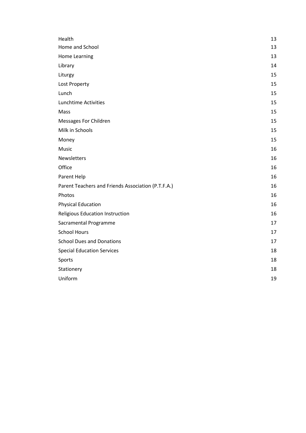| Health                                             | 13 |
|----------------------------------------------------|----|
| Home and School                                    | 13 |
| Home Learning                                      | 13 |
| Library                                            | 14 |
| Liturgy                                            | 15 |
| Lost Property                                      | 15 |
| Lunch                                              | 15 |
| Lunchtime Activities                               | 15 |
| Mass                                               | 15 |
| <b>Messages For Children</b>                       | 15 |
| Milk in Schools                                    | 15 |
| Money                                              | 15 |
| Music                                              | 16 |
| <b>Newsletters</b>                                 | 16 |
| Office                                             | 16 |
| Parent Help                                        | 16 |
| Parent Teachers and Friends Association (P.T.F.A.) | 16 |
| Photos                                             | 16 |
| <b>Physical Education</b>                          | 16 |
| Religious Education Instruction                    | 16 |
| Sacramental Programme                              | 17 |
| <b>School Hours</b>                                | 17 |
| <b>School Dues and Donations</b>                   | 17 |
| <b>Special Education Services</b>                  | 18 |
| Sports                                             | 18 |
| Stationery                                         | 18 |
| Uniform                                            | 19 |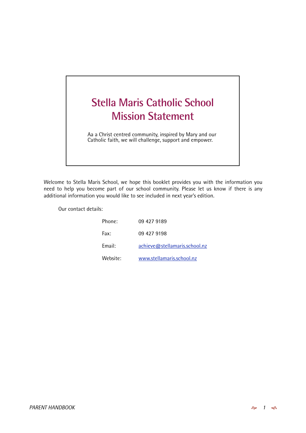## <span id="page-4-0"></span>**Stella Maris Catholic School Mission Statement**

Aa a Christ centred community, inspired by Mary and our Catholic faith, we will challenge, support and empower.

Welcome to Stella Maris School, we hope this booklet provides you with the information you need to help you become part of our school community. Please let us know if there is any additional information you would like to see included in next year's edition.

Our contact details:

| Phone:   | 09 427 9189                   |
|----------|-------------------------------|
| Fax:     | 09 427 9198                   |
| Fmail:   | achieve@stellamaris.school.nz |
| Website: | www.stellamaris.school.nz     |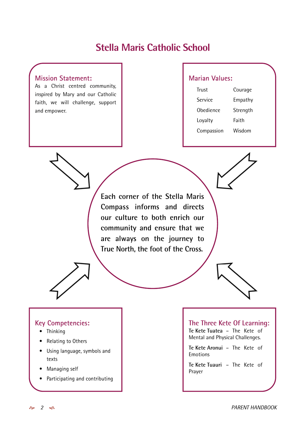### <span id="page-5-0"></span>**Stella Maris Catholic School**

#### **Mission Statement:**

As a Christ centred community, inspired by Mary and our Catholic faith, we will challenge, support and empower.

### **Marian Values:**

| Trust      | Courage  |
|------------|----------|
| Service    | Empathy  |
| Obedience  | Strength |
| Loyalty    | Faith    |
| Compassion | Wisdom   |

**Each corner of the Stella Maris Compass informs and directs our culture to both enrich our community and ensure that we are always on the journey to True North, the foot of the Cross.**

### **Key Competencies:**

- Thinking
- Relating to Others
- Using language, symbols and texts
- Managing self
- Participating and contributing

### **The Three Kete Of Learning:**

**Te Kete Tuatea** – The Kete of Mental and Physical Challenges.

**Te Kete Aronui** – The Kete of Emotions

**Te Kete Tuauri** – The Kete of Prayer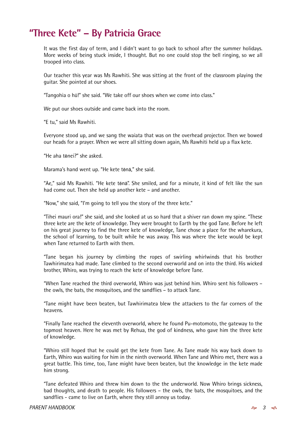### <span id="page-6-0"></span>**"Three Kete" – By Patricia Grace**

It was the first day of term, and I didn't want to go back to school after the summer holidays. More weeks of being stuck inside, I thought. But no one could stop the bell ringing, so we all trooped into class.

Our teacher this year was Ms Rawhiti. She was sitting at the front of the classroom playing the guitar. She pointed at our shoes.

"Tangohia o hū!" she said. "We take off our shoes when we come into class."

We put our shoes outside and came back into the room.

"E tu," said Ms Rawhiti.

Everyone stood up, and we sang the waiata that was on the overhead projector. Then we bowed our heads for a prayer. When we were all sitting down again, Ms Rawhiti held up a flax kete.

"He aha tēnei?" she asked.

Marama's hand went up. "He kete tēnā," she said.

"Āe," said Ms Rawhiti. "He kete tēnā". She smiled, and for a minute, it kind of felt like the sun had come out. Then she held up another kete – and another.

"Now," she said, "I'm going to tell you the story of the three kete."

"Tihei mauri ora!" she said, and she looked at us so hard that a shiver ran down my spine. "These three kete are the kete of knowledge. They were brought to Earth by the god Tane. Before he left on his great journey to find the three kete of knowledge, Tane chose a place for the wharekura, the school of learning, to be built while he was away. This was where the kete would be kept when Tane returned to Earth with them.

"Tane began his journey by climbing the ropes of swirling whirlwinds that his brother Tawhirimatea had made. Tane climbed to the second overworld and on into the third. His wicked brother, Whiro, was trying to reach the kete of knowledge before Tane.

"When Tane reached the third overworld, Whiro was just behind him. Whiro sent his followers – the owls, the bats, the mosquitoes, and the sandflies – to attack Tane.

"Tane might have been beaten, but Tawhirimatea blew the attackers to the far corners of the heavens.

"Finally Tane reached the eleventh overworld, where he found Pu-motomoto, the gateway to the topmost heaven. Here he was met by Rehua, the god of kindness, who gave him the three kete of knowledge.

"Whiro still hoped that he could get the kete from Tane. As Tane made his way back down to Earth, Whiro was waiting for him in the ninth overworld. When Tane and Whiro met, there was a great battle. This time, too, Tane might have been beaten, but the knowledge in the kete made him strong.

"Tane defeated Whiro and threw him down to the the underworld. Now Whiro brings sickness, bad thoughts, and death to people. His followers – the owls, the bats, the mosquitoes, and the sandflies - came to live on Earth, where they still annoy us today.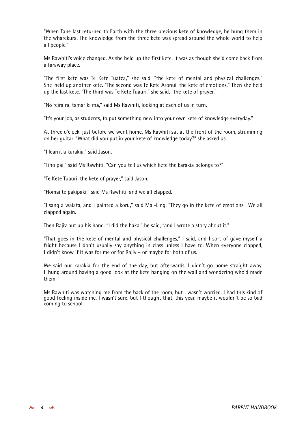"When Tane last returned to Earth with the three precious kete of knowledge, he hung them in the wharekura. The knowledge from the three kete was spread around the whole world to help all people."

Ms Rawhiti's voice changed. As she held up the first kete, it was as though she'd come back from a faraway place.

"The first kete was Te Kete Tuatea," she said, "the kete of mental and physical challenges." She held up another kete. "The second was Te Kete Aronui, the kete of emotions." Then she held up the last kete. "The third was Te Kete Tuauri," she said, "the kete of prayer."

"Nō reira rā, tamariki mā," said Ms Rawhiti, looking at each of us in turn.

"It's your job, as students, to put something new into your own kete of knowledge everyday."

At three o'clock, just before we went home, Ms Rawhiti sat at the front of the room, strumming on her guitar. "What did you put in your kete of knowledge today?" she asked us.

"I learnt a karakia," said Jason.

"Tino pai," said Ms Rawhiti. "Can you tell us which kete the karakia belongs to?"

"Te Kete Tuauri, the kete of prayer," said Jason.

"Homai te pakipaki," said Ms Rawhiti, and we all clapped.

"I sang a waiata, and I painted a koru," said Mai-Ling. "They go in the kete of emotions." We all clapped again.

Then Rajiv put up his hand. "I did the haka," he said, "and I wrote a story about it."

"That goes in the kete of mental and physical challenges," I said, and I sort of gave myself a fright because I don't usually say anything in class unless I have to. When everyone clapped, I didn't know if it was for me or for Rajiv – or maybe for both of us.

We said our karakia for the end of the day, but afterwards, I didn't go home straight away. I hung around having a good look at the kete hanging on the wall and wondering who'd made them.

Ms Rawhiti was watching me from the back of the room, but I wasn't worried. I had this kind of good feeling inside me. I wasn't sure, but I thought that, this year, maybe it wouldn't be so bad coming to school.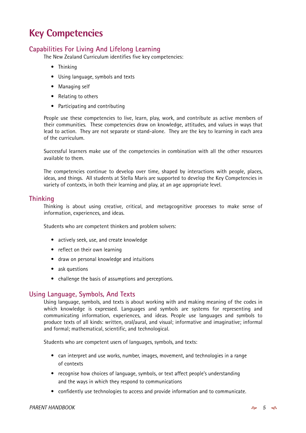### <span id="page-8-0"></span>**Key Competencies**

### <span id="page-8-1"></span>**Capabilities For Living And Lifelong Learning**

The New Zealand Curriculum identifies five key competencies:

- Thinking
- Using language, symbols and texts
- Managing self
- Relating to others
- Participating and contributing

People use these competencies to live, learn, play, work, and contribute as active members of their communities. These competencies draw on knowledge, attitudes, and values in ways that lead to action. They are not separate or stand-alone. They are the key to learning in each area of the curriculum.

Successful learners make use of the competencies in combination with all the other resources available to them.

The competencies continue to develop over time, shaped by interactions with people, places, ideas, and things. All students at Stella Maris are supported to develop the Key Competencies in variety of contexts, in both their learning and play, at an age appropriate level.

#### <span id="page-8-2"></span>**Thinking**

Thinking is about using creative, critical, and metagcognitive processes to make sense of information, experiences, and ideas.

Students who are competent thinkers and problem solvers:

- actively seek, use, and create knowledge
- reflect on their own learning
- draw on personal knowledge and intuitions
- ask questions
- challenge the basis of assumptions and perceptions.

#### <span id="page-8-3"></span>**Using Language, Symbols, And Texts**

Using language, symbols, and texts is about working with and making meaning of the codes in which knowledge is expressed. Languages and symbols are systems for representing and communicating information, experiences, and ideas. People use languages and symbols to produce texts of all kinds: written, oral/aural, and visual; informative and imaginative; informal and formal; mathematical, scientific, and technological.

Students who are competent users of languages, symbols, and texts:

- can interpret and use works, number, images, movement, and technologies in a range of contexts
- recognise how choices of language, symbols, or text affect people's understanding and the ways in which they respond to communications
- confidently use technologies to access and provide information and to communicate.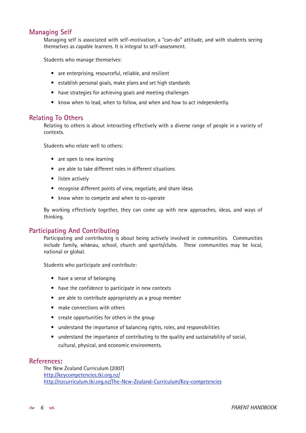### <span id="page-9-0"></span>**Managing Self**

Managing self is associated with self-motivation, a "can-do" attitude, and with students seeing themselves as capable learners. It is integral to self-assessment.

Students who manage themselves:

- are enterprising, resourceful, reliable, and resilient
- establish personal goals, make plans and set high standards
- have strategies for achieving goals and meeting challenges
- know when to lead, when to follow, and when and how to act independently.

#### <span id="page-9-1"></span>**Relating To Others**

Relating to others is about interacting effectively with a diverse range of people in a variety of contexts.

Students who relate well to others:

- are open to new learning
- are able to take different roles in different situations
- listen actively
- recognise different points of view, negotiate, and share ideas
- know when to compete and when to co-operate

By working effectively together, they can come up with new approaches, ideas, and ways of thinking.

### <span id="page-9-2"></span>**Participating And Contributing**

Participating and contributing is about being actively involved in communities. Communities include family, whānau, school, church and sports/clubs. These communities may be local, national or global.

Students who participate and contribute:

- have a sense of belonging
- have the confidence to participate in new contexts
- are able to contribute appropriately as a group member
- make connections with others
- create opportunities for others in the group
- understand the importance of balancing rights, roles, and responsibilities
- understand the importance of contributing to the quality and sustainability of social, cultural, physical, and economic environments.

#### <span id="page-9-3"></span>**References:**

The New Zealand Curriculum (2007) <http://keycompetencies.tki.org.nz/> <http://nzcurriculum.tki.org.nz/The-New-Zealand-Curriculum/Key-competencies>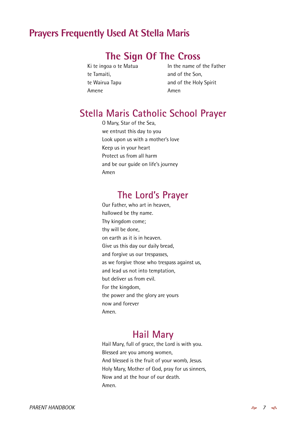### <span id="page-10-0"></span>**Prayers Frequently Used At Stella Maris**

### <span id="page-10-1"></span>**The Sign Of The Cross**

te Tamaiti, the Son, the Son, the Son, Amene Amen

Ki te ingoa o te Matua In the name of the Father te Wairua Tapu and of the Holy Spirit

### <span id="page-10-2"></span>**Stella Maris Catholic School Prayer**

O Mary, Star of the Sea, we entrust this day to you Look upon us with a mother's love Keep us in your heart Protect us from all harm and be our guide on life's journey Amen

### <span id="page-10-3"></span>**The Lord's Prayer**

Our Father, who art in heaven, hallowed be thy name. Thy kingdom come; thy will be done, on earth as it is in heaven. Give us this day our daily bread, and forgive us our trespasses, as we forgive those who trespass against us, and lead us not into temptation, but deliver us from evil. For the kingdom, the power and the glory are yours now and forever Amen.

### <span id="page-10-4"></span>**Hail Mary**

Hail Mary, full of grace, the Lord is with you. Blessed are you among women, And blessed is the fruit of your womb, Jesus. Holy Mary, Mother of God, pray for us sinners, Now and at the hour of our death. Amen.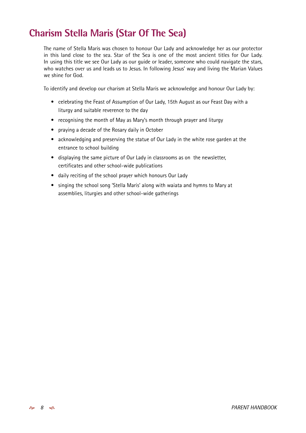## <span id="page-11-0"></span>**Charism Stella Maris (Star Of The Sea)**

The name of Stella Maris was chosen to honour Our Lady and acknowledge her as our protector in this land close to the sea. Star of the Sea is one of the most ancient titles for Our Lady. In using this title we see Our Lady as our guide or leader, someone who could navigate the stars, who watches over us and leads us to Jesus. In following Jesus' way and living the Marian Values we shine for God.

To identify and develop our charism at Stella Maris we acknowledge and honour Our Lady by:

- celebrating the Feast of Assumption of Our Lady, 15th August as our Feast Day with a liturgy and suitable reverence to the day
- recognising the month of May as Mary's month through prayer and liturgy
- praying a decade of the Rosary daily in October
- acknowledging and preserving the statue of Our Lady in the white rose garden at the entrance to school building
- displaying the same picture of Our Lady in classrooms as on the newsletter, certificates and other school-wide publications
- daily reciting of the school prayer which honours Our Lady
- singing the school song 'Stella Maris' along with waiata and hymns to Mary at assemblies, liturgies and other school-wide gatherings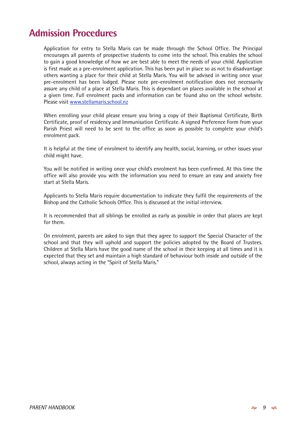### <span id="page-12-0"></span>**Admission Procedures**

Application for entry to Stella Maris can be made through the School Office. The Principal encourages all parents of prospective students to come into the school. This enables the school to gain a good knowledge of how we are best able to meet the needs of your child. Application is first made as a pre-enrolment application. This has been put in place so as not to disadvantage others wanting a place for their child at Stella Maris. You will be advised in writing once your pre-enrolment has been lodged. Please note pre-enrolment notification does not necessarily assure any child of a place at Stella Maris. This is dependant on places available in the school at a given time. Full enrolment packs and information can be found also on the school website. Please visit [www.stellamaris.school.nz](http://www.stellamaris.school.nz)

When enro[lling your child please ens](http://www.stellamaris.school.nz)ure you bring a copy of their Baptismal Certificate, Birth Certificate, proof of residency and Immunisation Certificate. A signed Preference Form from your Parish Priest will need to be sent to the office as soon as possible to complete your child's enrolment pack.

It is helpful at the time of enrolment to identify any health, social, learning, or other issues your child might have.

You will be notified in writing once your child's enrolment has been confirmed. At this time the office will also provide you with the information you need to ensure an easy and anxiety free start at Stella Maris.

Applicants to Stella Maris require documentation to indicate they fulfil the requirements of the Bishop and the Catholic Schools Office. This is discussed at the initial interview.

It is recommended that all siblings be enrolled as early as possible in order that places are kept for them.

On enrolment, parents are asked to sign that they agree to support the Special Character of the school and that they will uphold and support the policies adopted by the Board of Trustees. Children at Stella Maris have the good name of the school in their keeping at all times and it is expected that they set and maintain a high standard of behaviour both inside and outside of the school, always acting in the "Spirit of Stella Maris."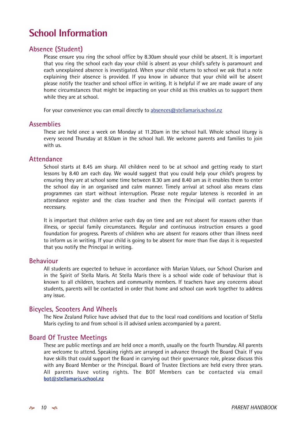### <span id="page-13-0"></span>**School Information**

#### <span id="page-13-1"></span>**Absence (Student)**

Please ensure you ring the school office by 8.30am should your child be absent. It is important that you ring the school each day your child is absent as your child's safety is paramount and each unexplained absence is investigated. When your child returns to school we ask that a note explaining their absence is provided. If you know in advance that your child will be absent please notify the teacher and school office in writing. It is helpful if we are made aware of any home circumstances that might be impacting on your child as this enables us to support them while they are at school.

For your convenience you can email directly to [absences@stellamaris.school.nz](mailto:absences@stellamaris.school.nz)

#### <span id="page-13-2"></span>**Assemblies**

These are held once a week on Monday at 11.20am in the school hall. Whole school liturgy is every second Thursday at 8.50am in the school hall. We welcome parents and families to join with us.

#### <span id="page-13-3"></span>**Attendance**

School starts at 8.45 am sharp. All children need to be at school and getting ready to start lessons by 8.40 am each day. We would suggest that you could help your child's progress by ensuring they are at school some time between 8.30 am and 8.40 am as it enables them to enter the school day in an organised and calm manner. Timely arrival at school also means class programmes can start without interruption. Please note regular lateness is recorded in an attendance register and the class teacher and then the Principal will contact parents if necessary.

It is important that children arrive each day on time and are not absent for reasons other than illness, or special family circumstances. Regular and continuous instruction ensures a good foundation for progress. Parents of children who are absent for reasons other than illness need to inform us in writing. If your child is going to be absent for more than five days it is requested that you notify the Principal in writing.

#### <span id="page-13-4"></span>**Behaviour**

All students are expected to behave in accordance with Marian Values, our School Charism and in the Spirit of Stella Maris. At Stella Maris there is a school wide code of behaviour that is known to all children, teachers and community members. If teachers have any concerns about students, parents will be contacted in order that home and school can work together to address any issue.

#### <span id="page-13-5"></span>**Bicycles, Scooters And Wheels**

The New Zealand Police have advised that due to the local road conditions and location of Stella Maris cycling to and from school is ill advised unless accompanied by a parent.

#### <span id="page-13-6"></span>**Board Of Trustee Meetings**

These are public meetings and are held once a month, usually on the fourth Thursday. All parents are welcome to attend. Speaking rights are arranged in advance through the Board Chair. If you have skills that could support the Board in carrying out their governance role, please discuss this with any Board Member or the Principal. Board of Trustee Elections are held every three years. All parents have voting rights. The BOT Members can be contacted via email **[bot@stellamaris.school.nz](mailto:bot@stellamaris.school.nz)**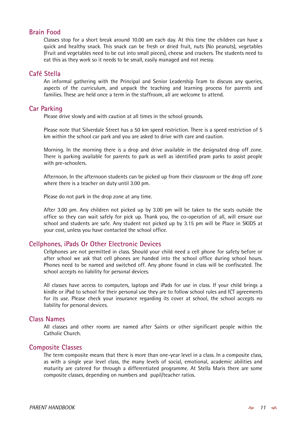#### <span id="page-14-0"></span>**Brain Food**

Classes stop for a short break around 10.00 am each day. At this time the children can have a quick and healthy snack. This snack can be fresh or dried fruit, nuts (No peanuts), vegetables (Fruit and vegetables need to be cut into small pieces), cheese and crackers. The students need to eat this as they work so it needs to be small, easily managed and not messy.

#### <span id="page-14-1"></span>**Café Stella**

An informal gathering with the Principal and Senior Leadership Team to discuss any queries, aspects of the curriculum, and unpack the teaching and learning process for parents and families. These are held once a term in the staffroom, all are welcome to attend.

#### <span id="page-14-2"></span>**Car Parking**

Please drive slowly and with caution at all times in the school grounds.

Please note that Silverdale Street has a 50 km speed restriction. There is a speed restriction of 5 km within the school car park and you are asked to drive with care and caution.

Morning. In the morning there is a drop and drive available in the designated drop off zone. There is parking available for parents to park as well as identified pram parks to assist people with pre-schoolers.

Afternoon. In the afternoon students can be picked up from their classroom or the drop off zone where there is a teacher on duty until 3.00 pm.

Please do not park in the drop zone at any time.

After 3.00 pm. Any children not picked up by 3.00 pm will be taken to the seats outside the office so they can wait safely for pick up. Thank you, the co-operation of all, will ensure our school and students are safe. Any student not picked up by 3.15 pm will be Place in SKIDS at your cost, unless you have contacted the school office.

#### <span id="page-14-3"></span>**Cellphones, iPads Or Other Electronic Devices**

Cellphones are not permitted in class. Should your child need a cell phone for safety before or after school we ask that cell phones are handed into the school office during school hours. Phones need to be named and switched off. Any phone found in class will be confiscated. The school accepts no liability for personal devices.

All classes have access to computers, laptops and iPads for use in class. If your child brings a kindle or iPad to school for their personal use they are to follow school rules and ICT agreements for its use. Please check your insurance regarding its cover at school, the school accepts no liability for personal devices.

#### <span id="page-14-4"></span>**Class Names**

All classes and other rooms are named after Saints or other significant people within the Catholic Church.

#### <span id="page-14-5"></span>**Composite Classes**

The term composite means that there is more than one-year level in a class. In a composite class, as with a single year level class, the many levels of social, emotional, academic abilities and maturity are catered for through a differentiated programme. At Stella Maris there are some composite classes, depending on numbers and pupil/teacher ratios.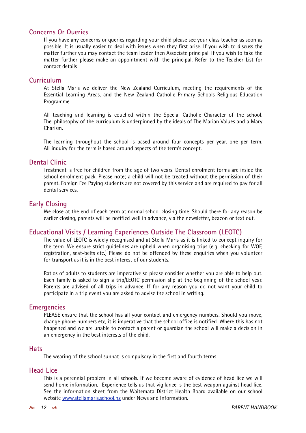#### <span id="page-15-0"></span>**Concerns Or Queries**

If you have any concerns or queries regarding your child please see your class teacher as soon as possible. It is usually easier to deal with issues when they first arise. If you wish to discuss the matter further you may contact the team leader then Associate principal. If you wish to take the matter further please make an appointment with the principal. Refer to the Teacher List for contact details

#### <span id="page-15-1"></span>**Curriculum**

At Stella Maris we deliver the New Zealand Curriculum, meeting the requirements of the Essential Learning Areas, and the New Zealand Catholic Primary Schools Religious Education Programme.

All teaching and learning is couched within the Special Catholic Character of the school. The philosophy of the curriculum is underpinned by the ideals of The Marian Values and a Mary Charism.

The learning throughout the school is based around four concepts per year, one per term. All inquiry for the term is based around aspects of the term's concept.

#### <span id="page-15-2"></span>**Dental Clinic**

Treatment is free for children from the age of two years. Dental enrolment forms are inside the school enrolment pack. Please note; a child will not be treated without the permission of their parent. Foreign Fee Paying students are not covered by this service and are required to pay for all dental services.

#### <span id="page-15-3"></span>**Early Closing**

We close at the end of each term at normal school closing time. Should there for any reason be earlier closing, parents will be notified well in advance, via the newsletter, beacon or text out.

### <span id="page-15-4"></span>**Educational Visits / Learning Experiences Outside The Classroom (LEOTC)**

The value of LEOTC is widely recognised and at Stella Maris as it is linked to concept inquiry for the term. We ensure strict guidelines are upheld when organising trips (e.g. checking for WOF, registration, seat-belts etc.) Please do not be offended by these enquiries when you volunteer for transport as it is in the best interest of our students.

Ratios of adults to students are imperative so please consider whether you are able to help out. Each family is asked to sign a trip/LEOTC permission slip at the beginning of the school year. Parents are advised of all trips in advance. If for any reason you do not want your child to participate in a trip event you are asked to advise the school in writing.

#### <span id="page-15-5"></span>**Emergencies**

PLEASE ensure that the school has all your contact and emergency numbers. Should you move, change phone numbers etc, it is imperative that the school office is notified. Where this has not happened and we are unable to contact a parent or guardian the school will make a decision in an emergency in the best interests of the child.

#### <span id="page-15-6"></span>**Hats**

The wearing of the school sunhat is compulsory in the first and fourth terms.

#### <span id="page-15-7"></span>**Head Lice**

This is a perennial problem in all schools. If we become aware of evidence of head lice we will send home information. Experience tells us that vigilance is the best weapon against head lice. See the information sheet from the Waitemata District Health Board available on our school website [www.stellamaris.school.nz](http://www.stellamaris.school.nz) under News and Information.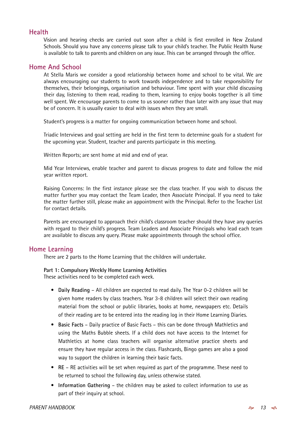#### **Health**

Vision and hearing checks are carried out soon after a child is first enrolled in New Zealand Schools. Should you have any concerns please talk to your child's teacher. The Public Health Nurse is available to talk to parents and children on any issue. This can be arranged through the office.

#### **Home And School**

At Stella Maris we consider a good relationship between home and school to be vital. We are always encouraging our students to work towards independence and to take responsibility for themselves, their belongings, organisation and behaviour. Time spent with your child discussing their day, listening to them read, reading to them, learning to enjoy books together is all time well spent. We encourage parents to come to us sooner rather than later with any issue that may be of concern. It is usually easier to deal with issues when they are small.

Student's progress is a matter for ongoing communication between home and school.

Triadic Interviews and goal setting are held in the first term to determine goals for a student for the upcoming year. Student, teacher and parents participate in this meeting.

Written Reports; are sent home at mid and end of year.

Mid Year Interviews, enable teacher and parent to discuss progress to date and follow the mid year written report.

Raising Concerns: In the first instance please see the class teacher. If you wish to discuss the matter further you may contact the Team Leader, then Associate Principal. If you need to take the matter further still, please make an appointment with the Principal. Refer to the Teacher List for contact details.

Parents are encouraged to approach their child's classroom teacher should they have any queries with regard to their child's progress. Team Leaders and Associate Principals who lead each team are available to discuss any query. Please make appointments through the school office.

#### **Home Learning**

There are 2 parts to the Home Learning that the children will undertake.

#### **Part 1: Compulsory Weekly Home Learning Activities**

These activities need to be completed each week.

- **Daily Reading** All children are expected to read daily. The Year 0-2 children will be given home readers by class teachers. Year 3-8 children will select their own reading material from the school or public libraries, books at home, newspapers etc. Details of their reading are to be entered into the reading log in their Home Learning Diaries.
- **Basic Facts** Daily practice of Basic Facts this can be done through Mathletics and using the Maths Bubble sheets. If a child does not have access to the Internet for Mathletics at home class teachers will organise alternative practice sheets and ensure they have regular access in the class. Flashcards, Bingo games are also a good way to support the children in learning their basic facts.
- **RE** RE activities will be set when required as part of the programme. These need to be returned to school the following day, unless otherwise stated.
- **Information Gathering** the children may be asked to collect information to use as part of their inquiry at school.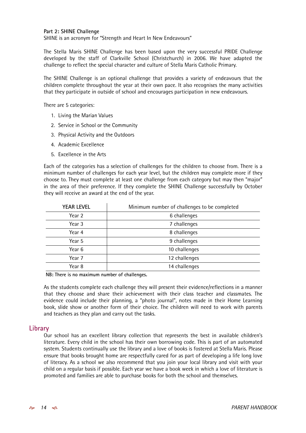#### **Part 2: SHINE Challenge**

SHINE is an acronym for "Strength and Heart In New Endeavours"

The Stella Maris SHINE Challenge has been based upon the very successful PRIDE Challenge developed by the staff of Clarkville School (Christchurch) in 2006. We have adapted the challenge to reflect the special character and culture of Stella Maris Catholic Primary.

The SHINE Challenge is an optional challenge that provides a variety of endeavours that the children complete throughout the year at their own pace. It also recognises the many activities that they participate in outside of school and encourages participation in new endeavours.

There are 5 categories:

- 1. Living the Marian Values
- 2. Service in School or the Community
- 3. Physical Activity and the Outdoors
- 4. Academic Excellence
- 5. Excellence in the Arts

Each of the categories has a selection of challenges for the children to choose from. There is a minimum number of challenges for each year level, but the children may complete more if they choose to. They must complete at least one challenge from each category but may then "major" in the area of their preference. If they complete the SHINE Challenge successfully by October they will receive an award at the end of the year.

| <b>YEAR LEVEL</b> | Minimum number of challenges to be completed |
|-------------------|----------------------------------------------|
| Year 2            | 6 challenges                                 |
| Year 3            | 7 challenges                                 |
| Year 4            | 8 challenges                                 |
| Year 5            | 9 challenges                                 |
| Year 6            | 10 challenges                                |
| Year 7            | 12 challenges                                |
| Year 8            | 14 challenges                                |

**NB: There is no maximum number of challenges.**

As the students complete each challenge they will present their evidence/reflections in a manner that they choose and share their achievement with their class teacher and classmates. The evidence could include their planning, a "photo journal", notes made in their Home Learning book, slide show or another form of their choice. The children will need to work with parents and teachers as they plan and carry out the tasks.

#### **Library**

Our school has an excellent library collection that represents the best in available children's literature. Every child in the school has their own borrowing code. This is part of an automated system. Students continually use the library and a love of books is fostered at Stella Maris. Please ensure that books brought home are respectfully cared for as part of developing a life long love of literacy. As a school we also recommend that you join your local library and visit with your child on a regular basis if possible. Each year we have a book week in which a love of literature is promoted and families are able to purchase books for both the school and themselves.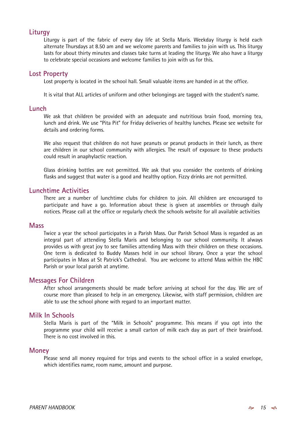#### **Liturgy**

Liturgy is part of the fabric of every day life at Stella Maris. Weekday liturgy is held each alternate Thursdays at 8.50 am and we welcome parents and families to join with us. This liturgy lasts for about thirty minutes and classes take turns at leading the liturgy. We also have a liturgy to celebrate special occasions and welcome families to join with us for this.

#### **Lost Property**

Lost property is located in the school hall. Small valuable items are handed in at the office.

It is vital that ALL articles of uniform and other belongings are tagged with the student's name.

#### **Lunch**

We ask that children be provided with an adequate and nutritious brain food, morning tea, lunch and drink. We use "Pita Pit" for Friday deliveries of healthy lunches. Please see website for details and ordering forms.

We also request that children do not have peanuts or peanut products in their lunch, as there are children in our school community with allergies. The result of exposure to these products could result in anaphylactic reaction.

Glass drinking bottles are not permitted. We ask that you consider the contents of drinking flasks and suggest that water is a good and healthy option. Fizzy drinks are not permitted.

#### **Lunchtime Activities**

There are a number of lunchtime clubs for children to join. All children are encouraged to participate and have a go. Information about these is given at assemblies or through daily notices. Please call at the office or regularly check the schools website for all available activities

#### **Mass**

Twice a year the school participates in a Parish Mass. Our Parish School Mass is regarded as an integral part of attending Stella Maris and belonging to our school community. It always provides us with great joy to see families attending Mass with their children on these occasions. One term is dedicated to Buddy Masses held in our school library. Once a year the school participates in Mass at St Patrick's Cathedral. You are welcome to attend Mass within the HBC Parish or your local parish at anytime.

#### **Messages For Children**

After school arrangements should be made before arriving at school for the day. We are of course more than pleased to help in an emergency. Likewise, with staff permission, children are able to use the school phone with regard to an important matter.

#### **Milk In Schools**

Stella Maris is part of the "Milk in Schools" programme. This means if you opt into the programme your child will receive a small carton of milk each day as part of their brainfood. There is no cost involved in this.

#### **Money**

Please send all money required for trips and events to the school office in a sealed envelope, which identifies name, room name, amount and purpose.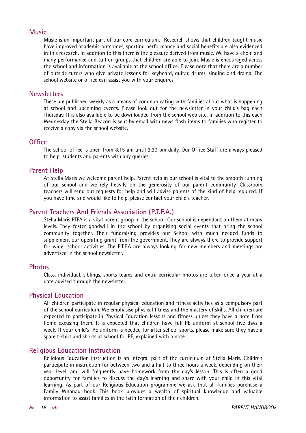#### **Music**

Music is an important part of our core curriculum. Research shows that children taught music have improved academic outcomes, sporting performance and social benefits are also evidenced in this research. In addition to this there is the pleasure derived from music. We have a choir, and many performance and tuition groups that children are able to join. Music is encouraged across the school and information is available at the school office. Please note that there are a number of outside tutors who give private lessons for keyboard, guitar, drums, singing and drama. The school website or office can assist you with your enquires.

#### **Newsletters**

These are published weekly as a means of communicating with families about what is happening at school and upcoming events. Please look out for the newsletter in your child's bag each Thursday. It is also available to be downloaded from the school web site. In addition to this each Wednesday the Stella Beacon is sent by email with news flash items to families who register to receive a copy via the school website.

#### **Office**

The school office is open from 8.15 am until 3.30 pm daily. Our Office Staff are always pleased to help students and parents with any queries.

#### **Parent Help**

At Stella Maris we welcome parent help. Parent help in our school is vital to the smooth running of our school and we rely heavily on the generosity of our parent community. Classroom teachers will send out requests for help and will advise parents of the kind of help required. If you have time and would like to help, please contact your child's teacher.

#### **Parent Teachers And Friends Association (P.T.F.A.)**

Stella Maris PTFA is a vital parent group in the school. Our school is dependant on them at many levels. They foster goodwill in the school by organising social events that bring the school community together. Their fundraising provides our School with much needed funds to supplement our operating grant from the government. They are always there to provide support for wider school activities. The P.T.F.A are always looking for new members and meetings are advertised in the school newsletter.

#### **Photos**

Class, individual, siblings, sports teams and extra curricular photos are taken once a year at a date advised through the newsletter.

#### **Physical Education**

All children participate in regular physical education and fitness activities as a compulsory part of the school curriculum. We emphasise physical fitness and the mastery of skills. All children are expected to participate in Physical Education lessons and fitness unless they have a note from home excusing them. It is expected that children have full PE uniform at school five days a week. If your child's PE uniform is needed for after school sports, please make sure they have a spare t-shirt and shorts at school for PE, explained with a note.

#### **Religious Education Instruction**

Religious Education instruction is an integral part of the curriculum at Stella Maris. Children participate in instruction for between two and a half to three hours a week, depending on their year level, and will frequently have homework from the day's lesson. This is often a good opportunity for families to discuss the day's learning and share with your child in this vital learning. As part of our Religious Education programme we ask that all families purchase a Family Whanau book. This book provides a wealth of spiritual knowledge and valuable information to assist families in the faith formation of their children.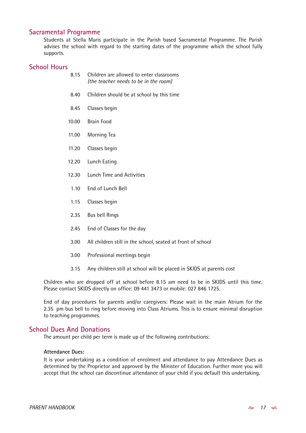#### **Sacramental Programme**

Students at Stella Maris participate in the Parish based Sacramental Programme. The Parish advises the school with regard to the starting dates of the programme which the school fully supports.

#### **School Hours**

- 8.15 Children are allowed to enter classrooms *(the teacher needs to be in the room)*
- 8.40 Children should be at school by this time
- 8.45 Classes begin
- 10.00 Brain Food
- 11.00 Morning Tea
- 11.20 Classes begin
- 12.20 Lunch Eating
- 12.30 Lunch Time and Activities
- 1.10 End of Lunch Bell
- 1.15 Classes begin
- 2.35 Bus bell Rings
- 2.45 End of Classes for the day
- 3.00 All children still in the school, seated at front of school
- 3.00 Professional meetings begin
- 3.15 Any children still at school will be placed in SKIDS at parents cost

Children who are dropped off at school before 8.15 am need to be in SKIDS until this time. Please contact SKIDS directly on office: 09 441 3473 or mobile: 027 846 1725.

End of day procedures for parents and/or caregivers: Please wait in the main Atrium for the 2.35 pm bus bell to ring before moving into Class Atriums. This is to ensure minimal disruption to teaching programmes.

#### **School Dues And Donations**

The amount per child per term is made up of the following contributions:

#### **Attendance Dues:**

It is your undertaking as a condition of enrolment and attendance to pay Attendance Dues as determined by the Proprietor and approved by the Minister of Education. Further more you will accept that the school can discontinue attendance of your child if you default this undertaking.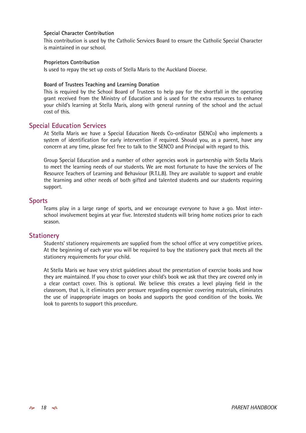#### **Special Character Contribution**

This contribution is used by the Catholic Services Board to ensure the Catholic Special Character is maintained in our school.

#### **Proprietors Contribution**

Is used to repay the set up costs of Stella Maris to the Auckland Diocese.

#### **Board of Trustees Teaching and Learning Donation**

This is required by the School Board of Trustees to help pay for the shortfall in the operating grant received from the Ministry of Education and is used for the extra resources to enhance your child's learning at Stella Maris, along with general running of the school and the actual cost of this.

#### **Special Education Services**

At Stella Maris we have a Special Education Needs Co-ordinator (SENCo) who implements a system of identification for early intervention if required. Should you, as a parent, have any concern at any time, please feel free to talk to the SENCO and Principal with regard to this.

Group Special Education and a number of other agencies work in partnership with Stella Maris to meet the learning needs of our students. We are most fortunate to have the services of The Resource Teachers of Learning and Behaviour (R.T.L.B). They are available to support and enable the learning and other needs of both gifted and talented students and our students requiring support.

#### **Sports**

Teams play in a large range of sports, and we encourage everyone to have a go. Most interschool involvement begins at year five. Interested students will bring home notices prior to each season.

#### **Stationery**

Students' stationery requirements are supplied from the school office at very competitive prices. At the beginning of each year you will be required to buy the stationery pack that meets all the stationery requirements for your child.

At Stella Maris we have very strict guidelines about the presentation of exercise books and how they are maintained. If you chose to cover your child's book we ask that they are covered only in a clear contact cover. This is optional. We believe this creates a level playing field in the classroom, that is, it eliminates peer pressure regarding expensive covering materials, eliminates the use of inappropriate images on books and supports the good condition of the books. We look to parents to support this procedure.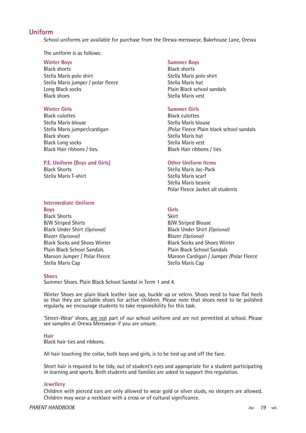#### **Uniform**

School uniforms are available for purchase from the Orewa menswear, Bakehouse Lane, Orewa

The uniform is as follows:

Black shorts Black shorts Stella Maris polo shirt Stella Maris polo shirt Stella Maris jumper / polar fleece Stella Maris hat Long Black socks Plain Black school sandals Black shoes Stella Maris vest

Black culottes Black culottes Stella Maris blouse Stella Maris blouse Black shoes Stella Maris hat Black Long socks Stella Maris vest Black Hair ribbons / ties. Black Hair ribbons / ties

#### **P.E. Uniform (Boys and Girls) Change 1 Other Uniform Items**

Stella Maris T-shirt Stella Maris scarf

#### **Intermediate Uniform**

**Boys** Girls Black Shorts Skirt Skirt B/W Striped Shirts B/W Striped Blouse Black Under Shirt *(Optional)* Black Under Shirt *(Optional)* Blazer *(Optional)* Blazer *(Optional)* Plain Black School Sandals Plain Black School Sandals Stella Maris Cap **Stella Maris Cap** Stella Maris Cap

#### **Winter Boys Summer Boys**

#### **Winter Girls Community Community Community Community Community Community Community Community Community Community Community Community Community Community Community Community Community Community Community Community Communit**

Stella Maris jumper/cardigan / /Polar Fleece Plain black school sandals

Black Shorts Stella Maris Jac-Pack Stella Maris beanie Polar Fleece Jacket all students

Black Socks and Shoes Winter Black Socks and Shoes Winter Maroon Jumper / Polar Fleece **Maroon Cardigan / Jumper / Polar Fleece** Maroon Cardigan / Jumper / Polar Fleece

#### **Shoes**

Summer Shoes. Plain Black School Sandal in Term 1 and 4.

Winter Shoes are plain black leather lace up, buckle up or velcro. Shoes need to have flat heels so that they are suitable shoes for active children. Please note that shoes need to be polished regularly, we encourage students to take responsibility for this task.

'Street-Wear' shoes, are not part of our school uniform and are not permitted at school. Please see samples at Orewa Menswear if you are unsure.

#### **Hair**

Black hair ties and ribbons.

All hair touching the collar, both boys and girls, is to be tied up and off the face.

Short hair is required to be tidy, out of student's eyes and appropriate for a student participating in learning and sports. Both students and families are asked to support this regulation.

#### **Jewellery**

Children with pierced ears are only allowed to wear gold or silver studs, no sleepers are allowed. Children may wear a necklace with a cross or of cultural significance.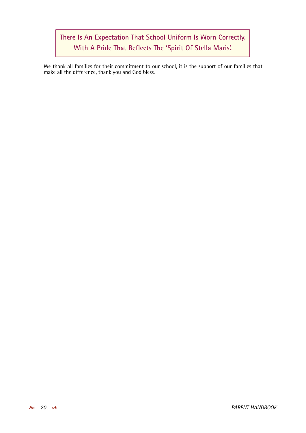### **There Is An Expectation That School Uniform Is Worn Correctly, With A Pride That Reflects The 'Spirit Of Stella Maris'.**

We thank all families for their commitment to our school, it is the support of our families that make all the difference, thank you and God bless.